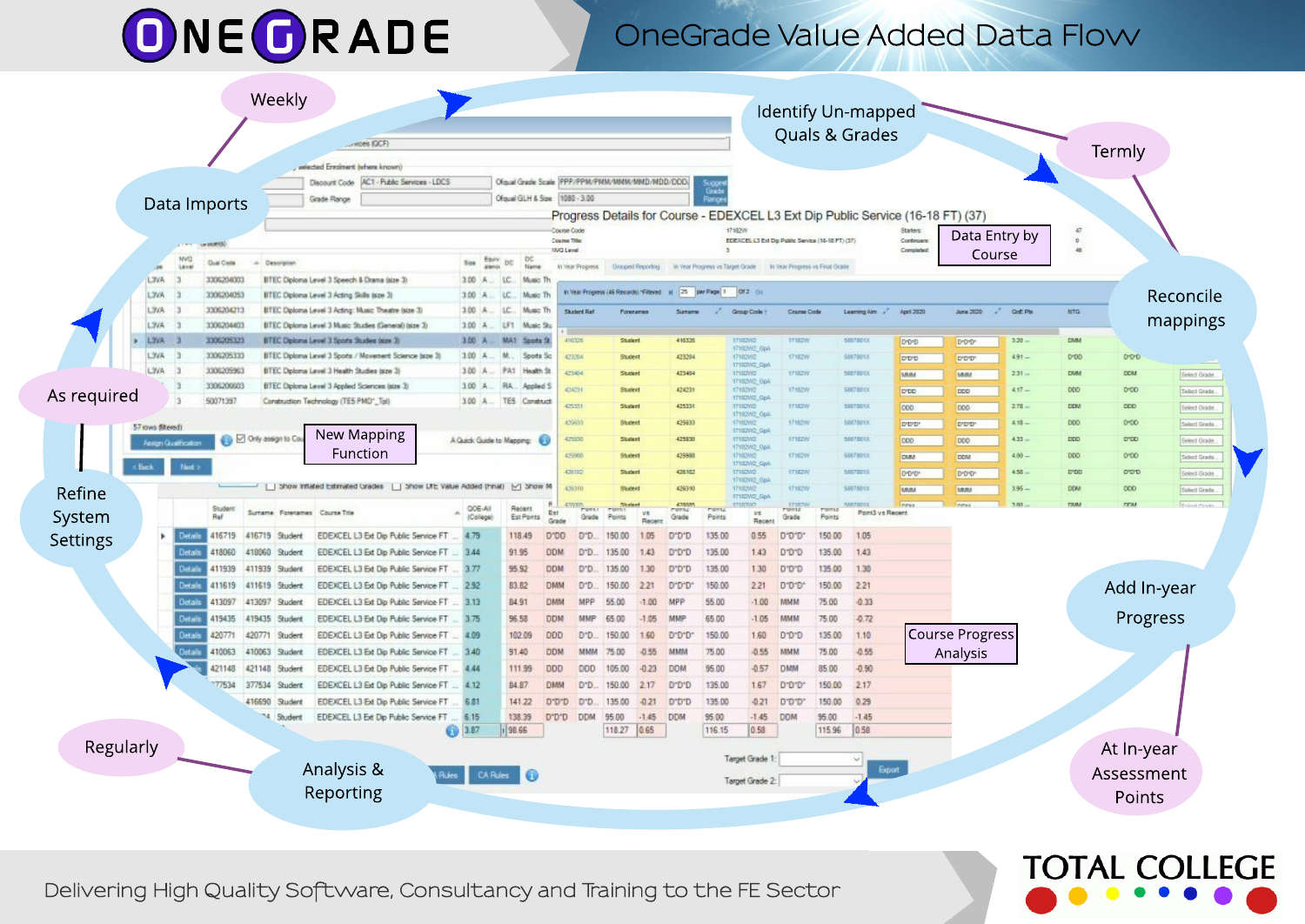# ONEORADE

### OneGrade Value Added Data Flow

**TOTAL COLLEGE** 

|             |                  |                             |                          |                                | woes (GCF)                                                                                            |       |                           |                                                          |                                  |                                         |                 |                   |            |                                  |                                                   |                                 |                 | Quals & Grades            |                                                                                 |                     |                   |             | Termly      |                              |
|-------------|------------------|-----------------------------|--------------------------|--------------------------------|-------------------------------------------------------------------------------------------------------|-------|---------------------------|----------------------------------------------------------|----------------------------------|-----------------------------------------|-----------------|-------------------|------------|----------------------------------|---------------------------------------------------|---------------------------------|-----------------|---------------------------|---------------------------------------------------------------------------------|---------------------|-------------------|-------------|-------------|------------------------------|
|             |                  |                             |                          |                                | selected Enrolment (where known)                                                                      |       |                           |                                                          |                                  |                                         |                 |                   |            |                                  |                                                   |                                 |                 |                           |                                                                                 |                     |                   |             |             |                              |
|             |                  |                             |                          |                                | Discount Code AC1 - Public Services - LDC5                                                            |       |                           | Ofqual Grade Scale PPP/PPM/PMM/MMM/MMD/MDD/DDD/          |                                  |                                         |                 |                   |            |                                  |                                                   |                                 |                 |                           |                                                                                 |                     |                   |             |             |                              |
|             | Data Imports     |                             | Grade Range              |                                |                                                                                                       |       |                           | sugge<br>Grade<br>Berne<br>Ofqual GLH & Size 1080 - 3.00 |                                  |                                         |                 |                   |            |                                  |                                                   |                                 |                 |                           |                                                                                 |                     |                   |             |             |                              |
|             |                  |                             |                          |                                |                                                                                                       |       |                           |                                                          |                                  |                                         |                 |                   |            |                                  |                                                   |                                 |                 |                           | Progress Details for Course - EDEXCEL L3 Ext Dip Public Service (16-18 FT) (37) |                     |                   |             |             |                              |
|             |                  |                             |                          |                                |                                                                                                       |       |                           |                                                          | Course Code                      |                                         |                 |                   |            | 17:4826                          |                                                   |                                 |                 |                           |                                                                                 |                     | Data Entry by     | $\omega$    |             |                              |
|             |                  |                             |                          |                                |                                                                                                       |       |                           |                                                          | Course Title<br><b>NVQ Level</b> |                                         |                 |                   |            |                                  | EDEXCEL L3 Ext Dip Public Service (16-18 PT) (37) |                                 |                 |                           | Continuers<br>Completed                                                         |                     | Course            | '46         |             |                              |
|             |                  | MVD<br>Lene                 | <b>Qual Cieta</b>        | Description                    |                                                                                                       |       | See                       | DC<br><b>Name</b>                                        |                                  | In hisar Progress                       |                 | Grouped Reporting |            | In Year Progress vs Target Grade |                                                   | In Year Progress vs Final Grade |                 |                           |                                                                                 |                     |                   |             |             |                              |
|             | L3VA             |                             | 3306204003               |                                | BTEC Diploma Level 3 Speech & Drama (size 3)                                                          |       | 3.00                      | LC.<br>Music TI                                          |                                  |                                         |                 |                   |            |                                  |                                                   |                                 |                 |                           |                                                                                 |                     |                   |             |             |                              |
|             | <b>AVAL</b>      |                             | 3306204053               |                                | BTEC Diploma Level 3 Acting Skills (size 3                                                            |       | 3.00                      | Music TI                                                 |                                  | In Vear Progress (46 Records) *Filtered |                 |                   |            | N 25 per Page 1 0/2 06           |                                                   |                                 |                 |                           |                                                                                 |                     |                   |             |             | Reconcile                    |
|             | L3VA             | - 3                         | 3306204213               |                                | BTEC Diploma Level 3 Acting: Music Theatre (size 3)                                                   |       | 3.00                      | Music Th                                                 |                                  | <b>Shadood Dat</b>                      | Porename        |                   |            |                                  | Comum Code                                        | <b>Course Code</b>              |                 | Learning Aim V April 2020 |                                                                                 | June 2020           | <b>CONTRACTOR</b> | <b>NTG</b>  |             | mappings                     |
|             | L3VA:<br>LY/A    |                             | 3306204403<br>3306205323 |                                | BTEC Diploma Level 3 Music Studies (General) (size 3)<br>BTEC Diploma Level 3 Sports Studies (size 3) |       | 3.00 A<br>3.00 A          | LF1<br>Music St.<br><b>MAS</b><br>Spots St               |                                  | 416328                                  | Student         |                   | 410320     |                                  |                                                   | 17182W                          |                 | 50070013                  |                                                                                 |                     | 3.20.             | <b>DMM</b>  |             |                              |
|             | L3VA             |                             | 3306205333               |                                | BTEC Diploma Level 3 Sports / Movement Science (size 3)                                               |       | 3.00 A                    | Sports So                                                |                                  | 423204                                  | Student         |                   | 423204     |                                  | <b>TRAZING</b><br>17182W2_GpA<br>17182W2          | 17182W                          |                 | \$06780100                | DO-D-D                                                                          | DYDYD*              | $4.91 -$          | 0100        | 0:00        |                              |
|             | LY/A             | $\Box$                      | 3306205963               |                                | BTEC Diploma Level 3 Health Studies (size 3)                                                          |       | 300 A                     | PA1<br>Health 3                                          |                                  | 423404                                  | Student         |                   | 423404     |                                  | <b>ITISZNZ Gol</b><br><b>ATTAZING</b>             | 17182W                          |                 | 5007801X                  | D'D'D<br><b>BAMA</b>                                                            | D'O'D'<br><b>MM</b> | 2.31              | DMM         | <b>DDM</b>  |                              |
|             |                  | 13                          | 3306206603               |                                | BTEC Diploma Level 3 Applied Sciences (size 3)                                                        |       | 3.00 A                    | RA<br>Applied !                                          |                                  | 434231                                  | Student         |                   | 424231     |                                  | 17182W2-BpA<br>17182462                           | 17182W                          |                 | \$0078000                 |                                                                                 |                     | 4.17              | DDD         | D10D        | Select Grade                 |
| As required |                  | в                           | 50071397                 |                                | Construction Technology (TES PMD*_Tpl)                                                                |       | 3.00 A.                   | TES Construct                                            |                                  | 425331                                  | Student         |                   | 425331     |                                  | <b>TTRZWZ GpA</b><br><b>TTRONG</b>                | 17152W                          |                 | 50070013                  | D'DD                                                                            | <b>DDD</b><br>DDD   | $2.75 -$          | <b>DDM</b>  | DDD         | Select Grade                 |
|             |                  |                             |                          |                                |                                                                                                       |       |                           |                                                          |                                  | 425633                                  | Student         |                   | 425633     |                                  | 17182W2_GpA<br>17182W2                            | <b>17182W</b>                   |                 | 50678013                  | DOD:<br>D'D'D'                                                                  | D'O'D'              | 4 级               | DDD         | 0:00        | Select Grade<br>Select Grade |
|             | 57 rows ditered) |                             |                          | O City assign to Co.           | New Mapping                                                                                           |       | A Quick Guide to Mapping: |                                                          |                                  | 425930                                  | Student         |                   | 425930     |                                  | <b>IT182W2_GpA</b><br>17182W2                     | <b>17152W</b>                   |                 | 5007020X                  | loco                                                                            | DDD                 | $4.33 -$          | DDD         | D'OD        |                              |
|             |                  | <b>Assign Qualification</b> |                          |                                | Function                                                                                              |       |                           |                                                          |                                  | 425988                                  | <b>Student</b>  |                   | 476988     |                                  | 17182W2_Gp4<br>17182W2                            | <b>17182W</b>                   |                 | 506780 CK                 | <b>DMM</b>                                                                      | <b>DDM</b>          | 4.00 -            | DDD.        | 0:00        | Belect Grade<br>Select Grade |
|             | Back             | Next >                      |                          |                                |                                                                                                       |       |                           |                                                          |                                  | 426102                                  | Student         |                   | 426 932    |                                  | 17182W2_Gpi<br><b>A7182W2</b>                     | <b>ITIBOW</b>                   |                 | 50070013                  | DOD'D'                                                                          | D*D*D*              | 4.55              | <b>D'DD</b> | D'D'D       | Select Grade                 |
| Refine      |                  |                             |                          |                                | -   Show Inflated Estimated Ciracles   Show DTE Value Added (Final)   Show M                          |       |                           |                                                          |                                  | 426310                                  | Student         |                   | 426310     |                                  | 17182W2-GpA<br>17182W2                            | <b>IT182W</b>                   |                 | 50878013                  | <b>MARA</b>                                                                     | <b>MM</b>           | 3.95              | DDM         | 000         | Select Grade                 |
|             |                  |                             | Student                  |                                |                                                                                                       |       | <b>OOE-All</b>            | Recent                                                   |                                  | <b>ATTORY WITH A</b>                    | Shider          |                   |            | <b>CONTA</b>                     | <b>TTIS2W2 Gpi</b>                                | <b>TTUCHA</b>                   | rums            |                           | Picka                                                                           |                     |                   | <b>TAM</b>  | <b>COM</b>  | Dolont Cando                 |
| System      |                  |                             | Ref                      | Surrame Forenames Course Title |                                                                                                       |       | (College)                 | Est Points                                               | Grade                            | Grade                                   |                 | VB.<br>Recent     | Grade      | Points                           | vs.<br>Recent                                     | Grade                           | Points          | Point3 vs Recent          |                                                                                 |                     |                   |             |             |                              |
| Settings    |                  | Details                     | 416719                   | 416719 Student                 | EDEXCEL L3 Ext Dip Public Service FT                                                                  |       | 4.79                      | 118.49                                                   | D'00                             | D'D.                                    | 150.00          | 1.05              | D-D-D      | 135.00                           | 0.55                                              | D.D.D.                          | 150.00          | 1.05                      |                                                                                 |                     |                   |             |             |                              |
|             |                  | Details                     | 418060                   | 419060 Student                 | EDEXCEL L3 Ext Dip Public Service FT                                                                  |       | 3.44                      | 91.95                                                    | <b>DDM</b>                       | D-D.                                    | 135.00          | 1.43              | D-D-D      | 135.00                           | 1.43                                              | 01010                           | 135.00          | 1.43                      |                                                                                 |                     |                   |             |             |                              |
|             |                  | Details                     | 411939                   | 411939 Student                 | EDEXCEL L3 Ext Dip Public Service FT                                                                  |       | 3.77                      | 95.92                                                    | <b>DDM</b>                       | D'D.                                    | 135.00          | 1.30              | D"D"D      | 135.00                           | 130                                               | D'O'D                           | 135.00          | 1.30                      |                                                                                 |                     |                   |             |             |                              |
|             |                  | Details                     | 411619                   | 411619 Student                 | EDEXCEL L3 Ext Dip Public Service FT                                                                  |       | 2.92                      | 83.82                                                    | <b>DMM</b>                       | D <sup>-D</sup>                         | 150.00          | 2.21              | D-D-D-     | 150.00                           | 221                                               | D'D'D'                          | 150.00          | 221                       |                                                                                 |                     |                   |             | Add In-year |                              |
|             |                  | Details                     | 413097                   | 413097 Student                 | EDEXCEL L3 Ext Dip Public Service FT                                                                  |       | 3.13                      | 84.91                                                    | <b>DMM</b>                       | MPF                                     | 55.00           | 1.00              | MPP        | 55.00                            | $-1.00$                                           | <b>WMM</b>                      | 75.00           | $-0.33$                   |                                                                                 |                     |                   |             |             |                              |
|             |                  | Details                     | 419435                   | 419435 Student                 | EDEXCEL L3 Ext Dip Public Service FT                                                                  |       | 3.75                      | 96.58                                                    | <b>DDM</b>                       | MMP                                     | 65.00           | $-1.05$           | MMP        | 65.00                            | $-1.05$                                           | <b>MMM</b>                      | 75.00           | $-0.72$                   |                                                                                 |                     |                   |             | Progress    |                              |
|             |                  | Details                     | 420771                   | 420771 Student                 | EDEXCEL L3 Ext Dip Public Service FT                                                                  |       | 4.09                      | 102.09                                                   | <b>DDD</b>                       | D <sup>-D</sup>                         | 150.00          | 1.60              | D-D-D-     | 150.00                           | 1.60                                              | D'D'D                           | 135.00          | 1.10                      |                                                                                 | Course Progress     |                   |             |             |                              |
|             |                  | Details                     | 410063                   | 410063 Sludent                 | EDEXCEL L3 Ext Dip Public Service FT                                                                  |       | 3.40                      | 91.40                                                    | <b>DDM</b>                       | MMM                                     | 75.00           | 0.55              | MMM        | 75.00                            | $-0.55$                                           | MMM                             | 75.00           | $-0.55$                   |                                                                                 | Analysis            |                   |             |             |                              |
|             |                  |                             | 421148                   | 421148 Student                 | EDEXCEL L3 Ext Dip Public Service FT                                                                  |       | 4.44                      | 111.99                                                   | <b>DDD</b>                       | DDD:                                    | 105.00          | $-0.23$           | <b>DOM</b> | 95.00                            | $-0.57$                                           | <b>DMM</b>                      | 85.00           | $-0.90$                   |                                                                                 |                     |                   |             |             |                              |
|             |                  |                             | 177534                   | 377534 Student                 | EDEXCEL L3 Ext Dip Public Service FT                                                                  |       | 4.12                      | 84.87                                                    | <b>CHAIM</b>                     | D <sub>D</sub>                          | 150.00          | 2.17              | D-D-D      | 135.00                           | 1.67                                              | D'D'D'                          | 150.00          | 2.17                      |                                                                                 |                     |                   |             |             |                              |
|             |                  |                             |                          | 416690 Student                 | EDEXCEL L3 Ext Dip Public Service FT                                                                  |       | 6.81                      | 141.22                                                   | D'D'D                            | D'D                                     | 135.00          | $-0.21$           | D"D"D.     | 135.00                           | $-0.21$                                           | D'D'D                           | 150.00          | 0.29                      |                                                                                 |                     |                   |             |             |                              |
|             |                  |                             |                          | Student                        | EDEXCEL L3 Ext Dip Public Service FT                                                                  |       | 6.15                      | 138.39<br>98.66                                          | D'D'D                            | <b>DDM</b>                              | 95.00<br>118.27 | $-1.45$<br>0.65   | DDM        | 95.00<br>116.15                  | $-1.45$<br>0.58                                   | <b>DOM</b>                      | 95.00<br>115.96 | $-1.45$<br>0.58           |                                                                                 |                     |                   |             |             |                              |
|             |                  |                             |                          |                                |                                                                                                       |       | 3.87                      |                                                          |                                  |                                         |                 |                   |            |                                  |                                                   |                                 |                 |                           |                                                                                 |                     |                   |             |             |                              |
| Regularly   |                  |                             |                          |                                |                                                                                                       |       |                           |                                                          |                                  |                                         |                 |                   |            |                                  | Target Grade 1:                                   |                                 |                 |                           |                                                                                 |                     |                   |             | At In-year  |                              |
|             |                  |                             |                          |                                | Analysis &                                                                                            | Rules | CA Rules                  | I O                                                      |                                  |                                         |                 |                   |            |                                  | Target Grade 2:                                   |                                 |                 |                           | Export                                                                          |                     |                   |             | Assessment  |                              |
|             |                  |                             |                          |                                |                                                                                                       |       |                           |                                                          |                                  |                                         |                 |                   |            |                                  |                                                   |                                 |                 |                           |                                                                                 |                     |                   |             |             |                              |

Delivering High Quality Software, Consultancy and Training to the FE Sector